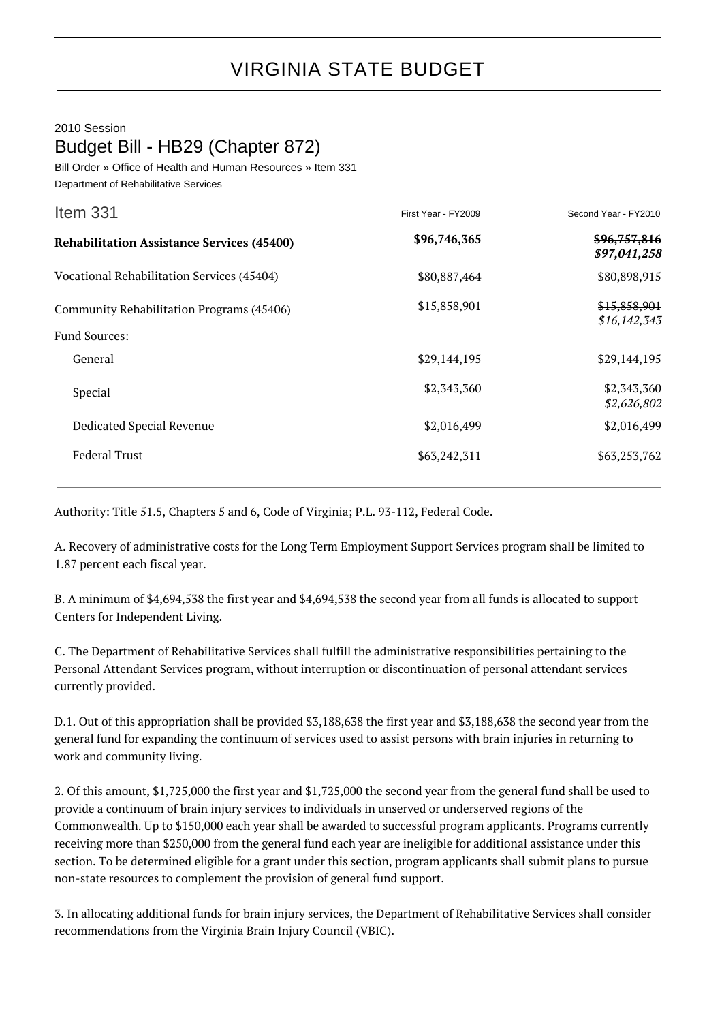## 2010 Session Budget Bill - HB29 (Chapter 872)

Bill Order » Office of Health and Human Resources » Item 331 Department of Rehabilitative Services

| Item 331                                          | First Year - FY2009 | Second Year - FY2010         |
|---------------------------------------------------|---------------------|------------------------------|
| <b>Rehabilitation Assistance Services (45400)</b> | \$96,746,365        | \$96,757,816<br>\$97,041,258 |
| Vocational Rehabilitation Services (45404)        | \$80,887,464        | \$80,898,915                 |
| Community Rehabilitation Programs (45406)         | \$15,858,901        | \$15,858,901<br>\$16,142,343 |
| <b>Fund Sources:</b>                              |                     |                              |
| General                                           | \$29,144,195        | \$29,144,195                 |
| Special                                           | \$2,343,360         | \$2,343,360<br>\$2,626,802   |
| Dedicated Special Revenue                         | \$2,016,499         | \$2,016,499                  |
| <b>Federal Trust</b>                              | \$63,242,311        | \$63,253,762                 |

Authority: Title 51.5, Chapters 5 and 6, Code of Virginia; P.L. 93-112, Federal Code.

A. Recovery of administrative costs for the Long Term Employment Support Services program shall be limited to 1.87 percent each fiscal year.

B. A minimum of \$4,694,538 the first year and \$4,694,538 the second year from all funds is allocated to support Centers for Independent Living.

C. The Department of Rehabilitative Services shall fulfill the administrative responsibilities pertaining to the Personal Attendant Services program, without interruption or discontinuation of personal attendant services currently provided.

D.1. Out of this appropriation shall be provided \$3,188,638 the first year and \$3,188,638 the second year from the general fund for expanding the continuum of services used to assist persons with brain injuries in returning to work and community living.

2. Of this amount, \$1,725,000 the first year and \$1,725,000 the second year from the general fund shall be used to provide a continuum of brain injury services to individuals in unserved or underserved regions of the Commonwealth. Up to \$150,000 each year shall be awarded to successful program applicants. Programs currently receiving more than \$250,000 from the general fund each year are ineligible for additional assistance under this section. To be determined eligible for a grant under this section, program applicants shall submit plans to pursue non-state resources to complement the provision of general fund support.

3. In allocating additional funds for brain injury services, the Department of Rehabilitative Services shall consider recommendations from the Virginia Brain Injury Council (VBIC).